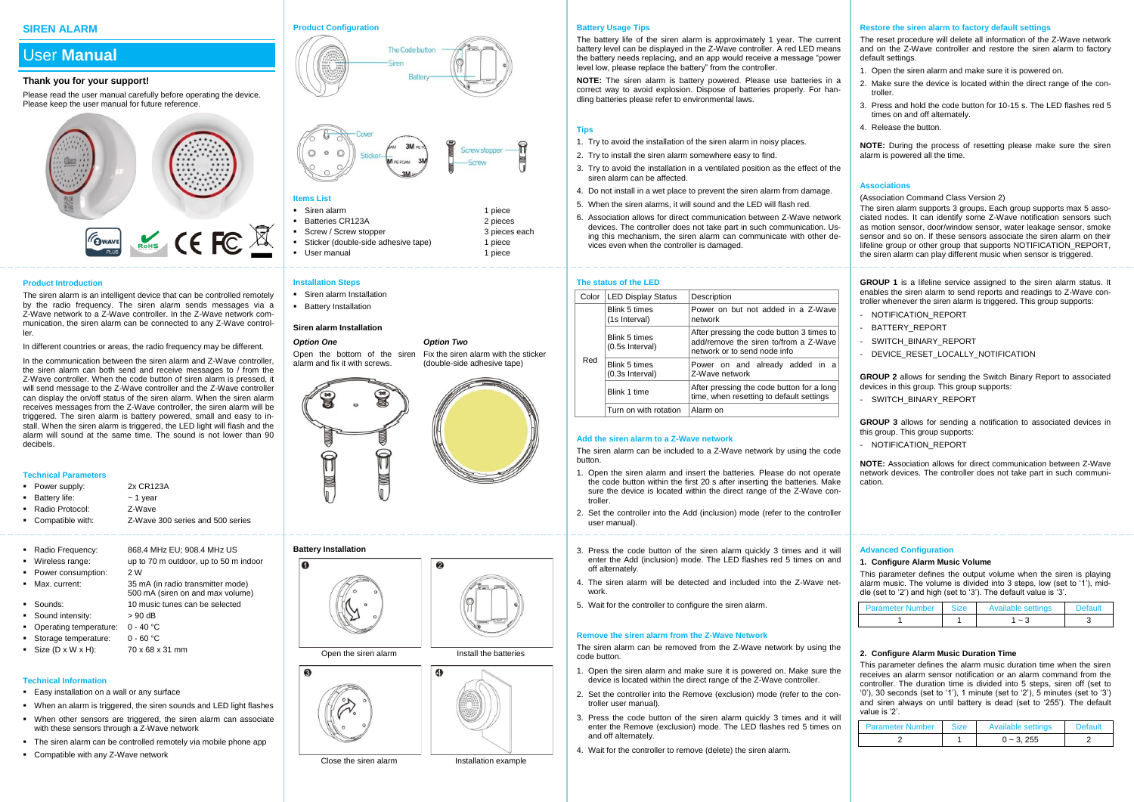## **SIREN ALARM**

# User **Manual**

## **Thank you for your support!**

Please read the user manual carefully before operating the device. Please keep the user manual for future reference.



#### **Product Introduction**

The siren alarm is an intelligent device that can be controlled remotely by the radio frequency. The siren alarm sends messages via a Z-Wave network to a Z-Wave controller. In the Z-Wave network communication, the siren alarm can be connected to any Z-Wave controller.

In different countries or areas, the radio frequency may be different.

In the communication between the siren alarm and Z-Wave controller, the siren alarm can both send and receive messages to / from the Z-Wave controller. When the code button of siren alarm is pressed, it will send message to the Z-Wave controller and the Z-Wave controller can display the on/off status of the siren alarm. When the siren alarm receives messages from the Z-Wave controller, the siren alarm will be triggered. The siren alarm is battery powered, small and easy to install. When the siren alarm is triggered, the LED light will flash and the alarm will sound at the same time. The sound is not lower than 90 decibels.

#### **Technical Parameters**

- Power supply: 2x CR123A
- Battery life:  $\sim$  1 year
- Radio Protocol: Z-Wave
- Compatible with: Z-Wave 300 series and 500 series
- Radio Frequency: 868.4 MHz EU; 908.4 MHz US
- Wireless range: up to 70 m outdoor, up to 50 m indoor
- Power consumption: 2 W
- $M$ ax. current:  $35 \text{ mA}$  (in radio transmitter mode) 500 mA (siren on and max volume)
- Sounds: 10 music tunes can be selected
- Sound intensity: > 90 dB
- Operating temperature: 0 40 °C
- Storage temperature: 0 60 °C
- Size  $(D \times W \times H)$ : 70 x 68 x 31 mm

## **Technical Information**

- Easy installation on a wall or any surface
- When an alarm is triggered, the siren sounds and LED light flashes
- When other sensors are triggered, the siren alarm can associate with these sensors through a Z-Wave network
- The siren alarm can be controlled remotely via mobile phone app
- Compatible with any Z-Wave network

## **Product Configuration**





## **Items List**

| Siren alarm                         | 1 piece       |
|-------------------------------------|---------------|
| Batteries CR123A                    | 2 pieces      |
| Screw / Screw stopper               | 3 pieces each |
| Sticker (double-side adhesive tape) | 1 piece       |
| User manual                         | 1 piece       |

- **Installation Steps**
- **Siren alarm Installation**
- **Battery Installation**

#### **Siren alarm Installation**

## *Option One*

Open the bottom of the siren Fix the siren alarm with the sticker alarm and fix it with screws. (double-side adhesive tape)



*Option Two*

## **Battery Installation**

 $\epsilon$ 



Close the siren alarm **Installation example** 



- and off alternately.
	- 4. Wait for the controller to remove (delete) the siren alarm.

## **Battery Usage Tips**

The battery life of the siren alarm is approximately 1 year. The current battery level can be displayed in the Z-Wave controller. A red LED means the battery needs replacing, and an app would receive a message "power level low, please replace the battery" from the controller.

**NOTE:** The siren alarm is battery powered. Please use batteries in a correct way to avoid explosion. Dispose of batteries properly. For handling batteries please refer to environmental laws.

## **Tips**

- 1. Try to avoid the installation of the siren alarm in noisy places.
- 2. Try to install the siren alarm somewhere easy to find.
- 3. Try to avoid the installation in a ventilated position as the effect of the siren alarm can be affected.
- 4. Do not install in a wet place to prevent the siren alarm from damage.
- 5. When the siren alarms, it will sound and the LED will flash red.
- 6. Association allows for direct communication between Z-Wave network devices. The controller does not take part in such communication. Using this mechanism, the siren alarm can communicate with other devices even when the controller is damaged.

#### **The status of the LED**

| Color | <b>LED Display Status</b>        | Description                                                                                                        |  |
|-------|----------------------------------|--------------------------------------------------------------------------------------------------------------------|--|
|       | Blink 5 times<br>(1s Interval)   | Power on but not added in a Z-Wavel<br>network                                                                     |  |
|       | Blink 5 times<br>(0.5s Interval) | After pressing the code button 3 times to<br>add/remove the siren to/from a Z-Wave<br>network or to send node info |  |
| Red   | Blink 5 times<br>(0.3s Interval) | Power on and already added in a<br>Z-Wave network                                                                  |  |
|       | Blink 1 time                     | After pressing the code button for a long<br>time, when resetting to default settings                              |  |
|       | Turn on with rotation            | Alarm on                                                                                                           |  |

## **Add the siren alarm to a Z-Wave network**

The siren alarm can be included to a Z-Wave network by using the code button.

- 1. Open the siren alarm and insert the batteries. Please do not operate the code button within the first 20 s after inserting the batteries. Make sure the device is located within the direct range of the Z-Wave controller.
- 2. Set the controller into the Add (inclusion) mode (refer to the controller user manual).
- 3. Press the code button of the siren alarm quickly 3 times and it will enter the Add (inclusion) mode. The LED flashes red 5 times on and off alternately.
- 4. The siren alarm will be detected and included into the Z-Wave network.
- 5. Wait for the controller to configure the siren alarm.

## **Remove the siren alarm from the Z-Wave Network**

The siren alarm can be removed from the Z-Wave network by using the code button.

- 1. Open the siren alarm and make sure it is powered on. Make sure the device is located within the direct range of the Z-Wave controller.
- 2. Set the controller into the Remove (exclusion) mode (refer to the controller user manual).
- 3. Press the code button of the siren alarm quickly 3 times and it will enter the Remove (exclusion) mode. The LED flashes red 5 times on
- 

## **Restore the siren alarm to factory default settings**

The reset procedure will delete all information of the Z-Wave network and on the Z-Wave controller and restore the siren alarm to factory default settings.

- 1. Open the siren alarm and make sure it is powered on.
- 2. Make sure the device is located within the direct range of the controller.
- 3. Press and hold the code button for 10-15 s. The LED flashes red 5 times on and off alternately.
- 4. Release the button.

**NOTE:** During the process of resetting please make sure the siren alarm is powered all the time.

## **Associations**

(Association Command Class Version 2)

The siren alarm supports 3 groups. Each group supports max 5 associated nodes. It can identify some Z-Wave notification sensors such as motion sensor, door/window sensor, water leakage sensor, smoke sensor and so on. If these sensors associate the siren alarm on their lifeline group or other group that supports NOTIFICATION\_REPORT, the siren alarm can play different music when sensor is triggered.

**GROUP 1** is a lifeline service assigned to the siren alarm status. It enables the siren alarm to send reports and readings to Z-Wave controller whenever the siren alarm is triggered. This group supports:

- NOTIFICATION REPORT
- BATTERY REPORT
- SWITCH BINARY REPORT
- DEVICE RESET LOCALLY NOTIFICATION

**GROUP 2** allows for sending the Switch Binary Report to associated devices in this group. This group supports:

- SWITCH BINARY REPORT

**GROUP 3** allows for sending a notification to associated devices in this group. This group supports:

- NOTIFICATION REPORT

**NOTE:** Association allows for direct communication between Z-Wave network devices. The controller does not take part in such communication.

## **Advanced Configuration**

#### **1. Configure Alarm Music Volume**

This parameter defines the output volume when the siren is playing alarm music. The volume is divided into 3 steps, low (set to '1'), middle (set to '2') and high (set to '3'). The default value is '3'.

| <b>Parameter Number</b> | Size | Available settings | וו ובזפנ |
|-------------------------|------|--------------------|----------|
|                         |      | $\sim$             |          |

## **2. Configure Alarm Music Duration Time**

This parameter defines the alarm music duration time when the siren receives an alarm sensor notification or an alarm command from the controller. The duration time is divided into 5 steps, siren off (set to '0'), 30 seconds (set to '1'), 1 minute (set to '2'), 5 minutes (set to '3') and siren always on until battery is dead (set to '255'). The default value is '2'.

| <b>Parameter Number</b> | <b>Size</b> | Available settings | <b>Default</b> |
|-------------------------|-------------|--------------------|----------------|
|                         |             | $0 - 3.255$        |                |